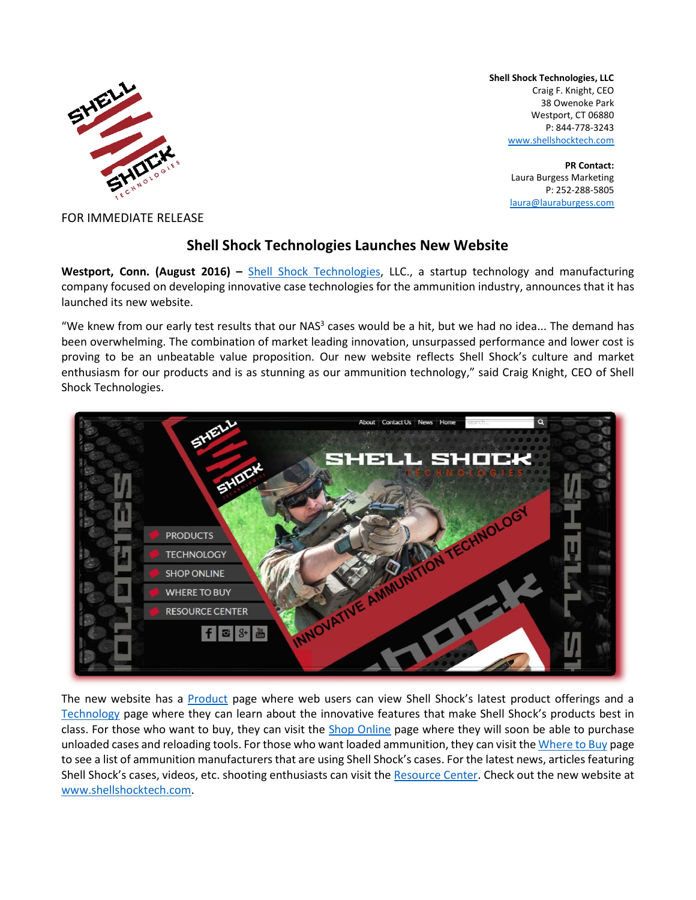

**Shell Shock Technologies, LLC** Craig F. Knight, CEO 38 Owenoke Park Westport, CT 06880 P: 844-778-3243 [www.shellshocktech.com](http://www.shellshocktech.com/)

> **PR Contact:** Laura Burgess Marketing P: 252-288-5805 [laura@lauraburgess.com](mailto:laura@lauraburgess.com)

FOR IMMEDIATE RELEASE

## **Shell Shock Technologies Launches New Website**

**Westport, Conn. (August 2016) –** [Shell Shock Technologies,](http://www.shellshocktech.com/) LLC., a startup technology and manufacturing company focused on developing innovative case technologies for the ammunition industry, announces that it has launched its new website.

"We knew from our early test results that our NAS<sup>3</sup> cases would be a hit, but we had no idea... The demand has been overwhelming. The combination of market leading innovation, unsurpassed performance and lower cost is proving to be an unbeatable value proposition. Our new website reflects Shell Shock's culture and market enthusiasm for our products and is as stunning as our ammunition technology," said Craig Knight, CEO of Shell Shock Technologies.



The new website has a [Product](http://shellshocktechnologies.com/sst-products/) page where web users can view Shell Shock's latest product offerings and a [Technology](http://shellshocktechnologies.com/technology/) page where they can learn about the innovative features that make Shell Shock's products best in class. For those who want to buy, they can visit the [Shop Online](http://shellshocktechnologies.com/shop-online/) page where they will soon be able to purchase unloaded cases and reloading tools. For those who want loaded ammunition, they can visit th[e Where to Buy](http://shellshocktechnologies.com/where-to-buy/) page to see a list of ammunition manufacturers that are using Shell Shock's cases. For the latest news, articles featuring Shell Shock's cases, videos, etc. shooting enthusiasts can visit th[e Resource Center.](http://shellshocktechnologies.com/resource-center/) Check out the new website at [www.shellshocktech.com.](http://www.shellshocktech.com/)